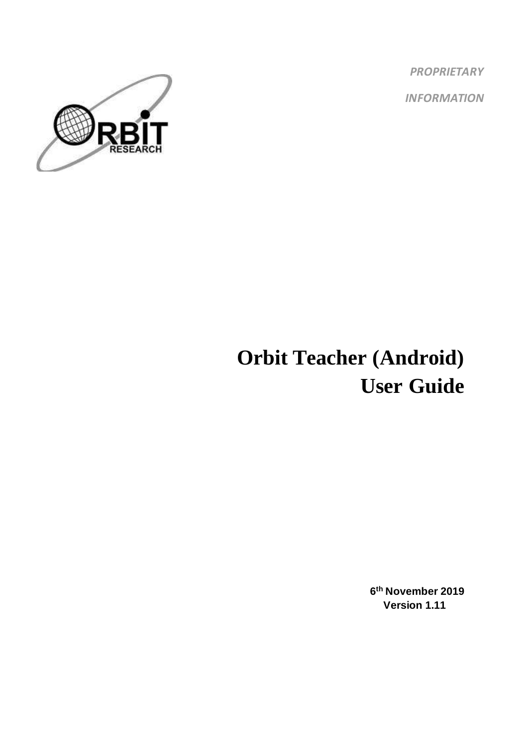*PROPRIETARY INFORMATION*



# **Orbit Teacher (Android) User Guide**

**6 th November 2019 Version 1.11**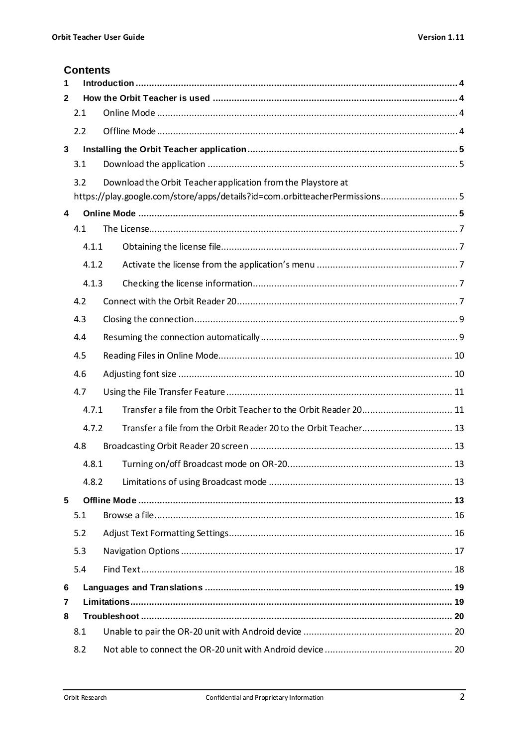#### **Contents**

| 1            |       |                                                                             |  |  |  |  |  |
|--------------|-------|-----------------------------------------------------------------------------|--|--|--|--|--|
| 2            |       |                                                                             |  |  |  |  |  |
|              | 2.1   |                                                                             |  |  |  |  |  |
|              | 2.2   |                                                                             |  |  |  |  |  |
| $\mathbf{3}$ |       |                                                                             |  |  |  |  |  |
|              | 3.1   |                                                                             |  |  |  |  |  |
|              | 3.2   | Download the Orbit Teacher application from the Playstore at                |  |  |  |  |  |
|              |       | https://play.google.com/store/apps/details?id=com.orbitteacherPermissions 5 |  |  |  |  |  |
| 4            |       |                                                                             |  |  |  |  |  |
|              | 4.1   |                                                                             |  |  |  |  |  |
|              | 4.1.1 |                                                                             |  |  |  |  |  |
|              | 4.1.2 |                                                                             |  |  |  |  |  |
|              | 4.1.3 |                                                                             |  |  |  |  |  |
|              | 4.2   |                                                                             |  |  |  |  |  |
|              | 4.3   |                                                                             |  |  |  |  |  |
|              | 4.4   |                                                                             |  |  |  |  |  |
|              | 4.5   |                                                                             |  |  |  |  |  |
|              | 4.6   |                                                                             |  |  |  |  |  |
|              | 4.7   |                                                                             |  |  |  |  |  |
|              | 4.7.1 | Transfer a file from the Orbit Teacher to the Orbit Reader 20 11            |  |  |  |  |  |
|              | 4.7.2 |                                                                             |  |  |  |  |  |
|              | 4.8   |                                                                             |  |  |  |  |  |
|              | 4.8.1 |                                                                             |  |  |  |  |  |
|              | 4.8.2 |                                                                             |  |  |  |  |  |
| 5            |       |                                                                             |  |  |  |  |  |
|              | 5.1   |                                                                             |  |  |  |  |  |
|              | 5.2   |                                                                             |  |  |  |  |  |
|              | 5.3   |                                                                             |  |  |  |  |  |
|              | 5.4   |                                                                             |  |  |  |  |  |
| 6            |       |                                                                             |  |  |  |  |  |
| 7            |       |                                                                             |  |  |  |  |  |
| 8            |       |                                                                             |  |  |  |  |  |
|              | 8.1   |                                                                             |  |  |  |  |  |
|              | 8.2   |                                                                             |  |  |  |  |  |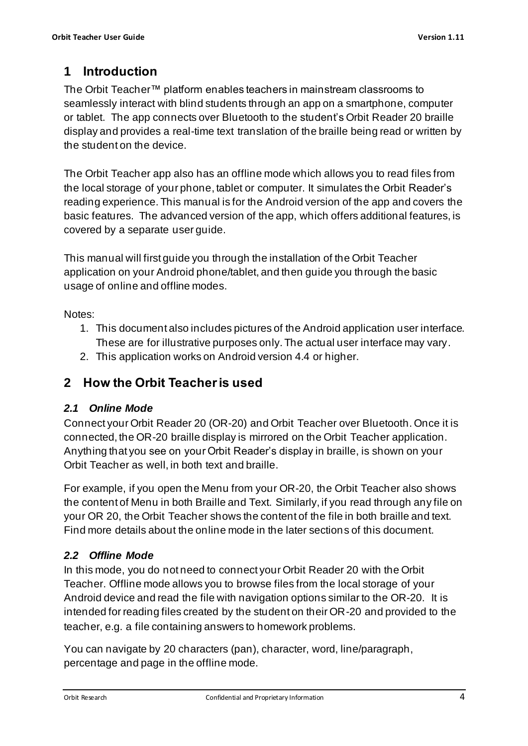# <span id="page-3-0"></span>**1 Introduction**

The Orbit Teacher™ platform enables teachers in mainstream classrooms to seamlessly interact with blind students through an app on a smartphone, computer or tablet. The app connects over Bluetooth to the student's Orbit Reader 20 braille display and provides a real-time text translation of the braille being read or written by the student on the device.

The Orbit Teacher app also has an offline mode which allows you to read files from the local storage of your phone, tablet or computer. It simulates the Orbit Reader's reading experience. This manual is for the Android version of the app and covers the basic features. The advanced version of the app, which offers additional features, is covered by a separate user guide.

This manual will first guide you through the installation of the Orbit Teacher application on your Android phone/tablet, and then guide you through the basic usage of online and offline modes.

Notes:

- 1. This document also includes pictures of the Android application user interface. These are for illustrative purposes only. The actual user interface may vary.
- 2. This application works on Android version 4.4 or higher.

## <span id="page-3-1"></span>**2 How the Orbit Teacher is used**

## <span id="page-3-2"></span>*2.1 Online Mode*

Connect your Orbit Reader 20 (OR-20) and Orbit Teacher over Bluetooth. Once it is connected, the OR-20 braille display is mirrored on the Orbit Teacher application. Anything that you see on your Orbit Reader's display in braille, is shown on your Orbit Teacher as well, in both text and braille.

For example, if you open the Menu from your OR-20, the Orbit Teacher also shows the content of Menu in both Braille and Text. Similarly, if you read through any file on your OR 20, the Orbit Teacher shows the content of the file in both braille and text. Find more details about the online mode in the later sections of this document.

## <span id="page-3-3"></span>*2.2 Offline Mode*

In this mode, you do not need to connect your Orbit Reader 20 with the Orbit Teacher. Offline mode allows you to browse files from the local storage of your Android device and read the file with navigation options similar to the OR-20. It is intended for reading files created by the student on their OR-20 and provided to the teacher, e.g. a file containing answers to homework problems.

You can navigate by 20 characters (pan), character, word, line/paragraph, percentage and page in the offline mode.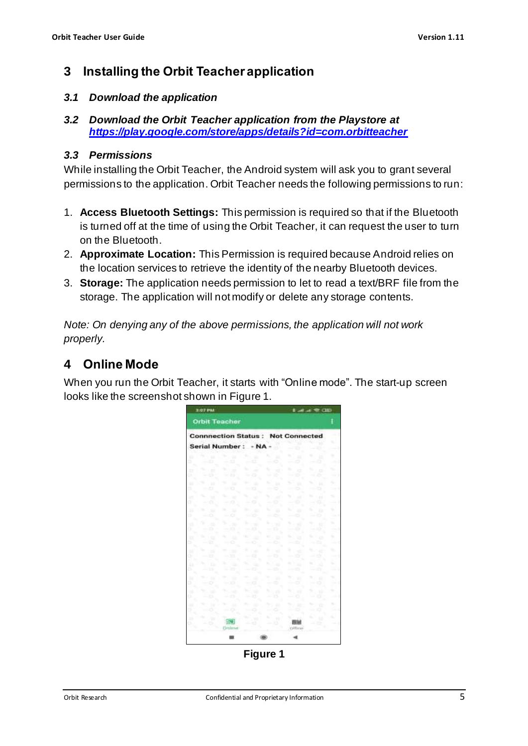## <span id="page-4-0"></span>**3 Installing the Orbit Teacher application**

#### <span id="page-4-1"></span>*3.1 Download the application*

<span id="page-4-2"></span>*3.2 Download the Orbit Teacher application from the Playstore at <https://play.google.com/store/apps/details?id=com.orbitteacher>*

#### *3.3 Permissions*

While installing the Orbit Teacher, the Android system will ask you to grant several permissions to the application. Orbit Teacher needs the following permissions to run:

- 1. **Access Bluetooth Settings:** This permission is required so that if the Bluetooth is turned off at the time of using the Orbit Teacher, it can request the user to turn on the Bluetooth.
- 2. **Approximate Location:** This Permission is required because Android relies on the location services to retrieve the identity of the nearby Bluetooth devices.
- 3. **Storage:** The application needs permission to let to read a text/BRF file from the storage. The application will not modify or delete any storage contents.

*Note: On denying any of the above permissions, the application will not work properly.*

# <span id="page-4-3"></span>**4 Online Mode**

When you run the Orbit Teacher, it starts with "Online mode". The start-up screen looks like the screenshot shown i[n Figure 1.](#page-4-4)

| 3:07 PM                                  | もみず やひの                      |                             |                                            |                         |                           |              |
|------------------------------------------|------------------------------|-----------------------------|--------------------------------------------|-------------------------|---------------------------|--------------|
| <b>Orbit Teacher</b>                     |                              |                             |                                            |                         |                           | I            |
| <b>Connnection Status: Not Connected</b> |                              |                             |                                            |                         |                           |              |
| <b>Serial Number:</b>                    |                              | - NA                        |                                            | z.                      | $\mathcal{L}$             | ×.           |
| ٠<br>٠<br>- 13<br>r                      | ٠<br>- 23                    | ь.<br>-<br>$-12$            | ×,<br>٠<br><b>STATE</b>                    | ٠<br>11<br>0<br>$\sim$  | ۰<br>Е<br>- 0             | ٠<br>y a     |
| o<br>$\mathbb{R}^n$<br>$-5$<br>Þ         | $\mathcal{L}$<br>$-13$       | u.<br>$\sim$<br>- 0         | u<br>$-0.001$<br>٠<br>-                    | m<br>×<br>$\circ$<br>-  | ٠<br>$\Box$<br>- 5        | ×.<br>$\sim$ |
| ٠<br>٠<br>٦<br>$-23$                     | w<br>٠<br>$-70$              | ×<br>$-20$                  | u<br>0<br>n in                             | ۰.<br>٠<br>0            | r<br>u<br>÷               | ×,<br>Yu k   |
| u<br>w<br>a<br>o<br>,                    | u.<br>×                      | u<br>×<br>$-0$              | ٠<br>367<br>÷                              | u<br>- 3<br>÷           | v.<br>A. A.M.<br>- 6      | u.<br>ست     |
| ÷<br>u<br>٦                              | o<br>×                       | ٠                           | u.<br>٠<br>-3                              | v.<br>33                | s.<br>11                  | x<br>s.      |
| - 0<br>r<br>$\alpha$<br>a                | - 0<br>÷<br>m                | - 10<br>٠<br>- 1            | ÷<br><b>COL</b>                            | - 5<br>v<br>$\sim$      | $-0$<br>÷<br>$+2$         | w<br>×       |
| - 0<br>ъ<br>×.<br>110<br>в               | $-0$<br>٠.<br>1. 12          | $\sim$ $\Omega$<br>٠        | $-0$<br>и                                  | --<br>÷<br>$\mathbf{1}$ | $-10$<br>N.Yas            | v            |
| $-0$<br>s<br>÷<br>u<br>a                 | $-0$<br>n a                  | $-0$<br>m.<br>l voli        | $\frac{1}{2}$<br>٠<br>President            | $-5$<br>٠<br>7 et       | - 5<br>s. .               | ٠<br>۰.      |
| s<br>- 33<br>UШ<br>u                     | ю<br><b>COLOR</b><br>v.<br>÷ | $-22$<br>۰.<br>٠            | - 0<br>ь.<br>t e                           | $\circ$                 | - 5<br>. .<br>$\lambda$ 2 | $-0.001$     |
| r<br>$-11$<br>m<br>m                     | n<br><b>START</b><br>٠       | o<br>٠                      | $-0$<br>$\mathcal{L}(\mathcal{C})$<br>n ee | -- 10<br>m.<br>, ,,     | - 0<br>٠<br>27 KB         | $\sim$<br>×  |
| - 0<br>w                                 | $-10$<br>-                   | o<br><b>STAR</b><br>u.<br>- | -0<br>U.M                                  | -0<br>۰.<br>, 19        | - 0<br>٠<br>-11           | na.<br>٠     |
| ×.<br>٠                                  | 23<br>m                      | 13<br>٠                     | ь<br>٠                                     | - 0<br>w<br>×           | $\circ$<br>-<br>٠<br>٠    | o ka<br>u.   |
| - 0<br>$\mathcal{L}$                     | - 0<br>ाजा                   | <b>STA</b>                  | c<br>$\sim$                                | -- 0<br>v               | ۰<br>42                   | 100<br>÷     |
| ۰<br>٦                                   | Circlimat:                   | t3                          | 15                                         | Office                  | ٠<br>۰.                   |              |
|                                          | ▦                            |                             |                                            |                         |                           |              |

<span id="page-4-4"></span>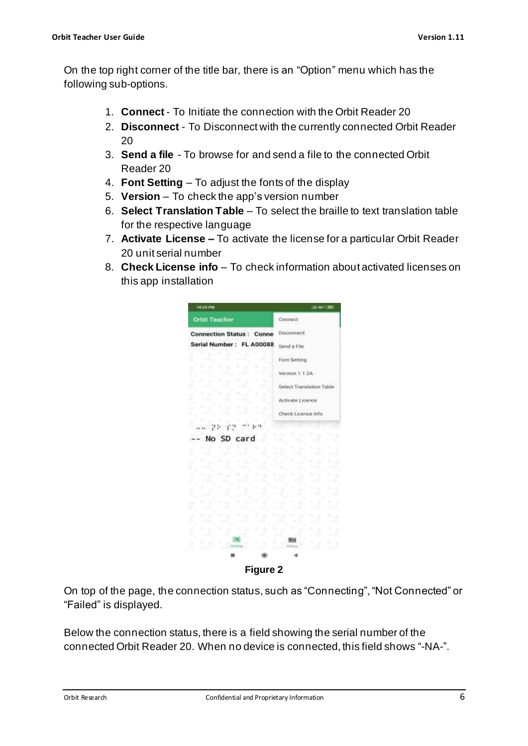On the top right corner of the title bar, there is an "Option" menu which has the following sub-options.

- 1. **Connect** To Initiate the connection with the Orbit Reader 20
- 2. **Disconnect** To Disconnect with the currently connected Orbit Reader 20
- 3. **Send a file** To browse for and send a file to the connected Orbit Reader 20
- 4. **Font Setting** To adjust the fonts of the display
- 5. **Version** To check the app's version number
- 6. **Select Translation Table** To select the braille to text translation table for the respective language
- 7. **Activate License –** To activate the license for a particular Orbit Reader 20 unit serial number
- 8. **Check License info** To check information about activated licenses on this app installation



On top of the page, the connection status, such as "Connecting", "Not Connected" or "Failed" is displayed.

Below the connection status, there is a field showing the serial number of the connected Orbit Reader 20. When no device is connected, this field shows "-NA-".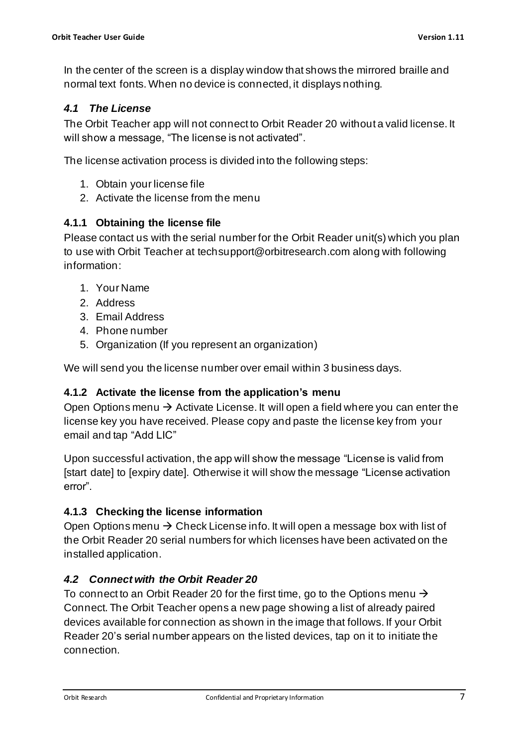In the center of the screen is a display window that shows the mirrored braille and normal text fonts. When no device is connected, it displays nothing.

#### <span id="page-6-0"></span>*4.1 The License*

The Orbit Teacher app will not connect to Orbit Reader 20 without a valid license. It will show a message, "The license is not activated".

The license activation process is divided into the following steps:

- 1. Obtain your license file
- 2. Activate the license from the menu

#### <span id="page-6-1"></span>**4.1.1 Obtaining the license file**

Please contact us with the serial number for the Orbit Reader unit(s) which you plan to use with Orbit Teacher at [techsupport@orbitresearch.com](mailto:techsupport@orbitresearch.com) along with following information:

- 1. Your Name
- 2. Address
- 3. Email Address
- 4. Phone number
- 5. Organization (If you represent an organization)

We will send you the license number over email within 3 business days.

#### <span id="page-6-2"></span>**4.1.2 Activate the license from the application's menu**

Open Options menu  $\rightarrow$  Activate License. It will open a field where you can enter the license key you have received. Please copy and paste the license key from your email and tap "Add LIC"

Upon successful activation, the app will show the message "License is valid from [start date] to [expiry date]. Otherwise it will show the message "License activation error".

#### <span id="page-6-3"></span>**4.1.3 Checking the license information**

Open Options menu  $\rightarrow$  Check License info. It will open a message box with list of the Orbit Reader 20 serial numbers for which licenses have been activated on the installed application.

## <span id="page-6-4"></span>*4.2 Connect with the Orbit Reader 20*

To connect to an Orbit Reader 20 for the first time, go to the Options menu  $\rightarrow$ Connect. The Orbit Teacher opens a new page showing a list of already paired devices available for connection as shown in the image that follows. If your Orbit Reader 20's serial number appears on the listed devices, tap on it to initiate the connection.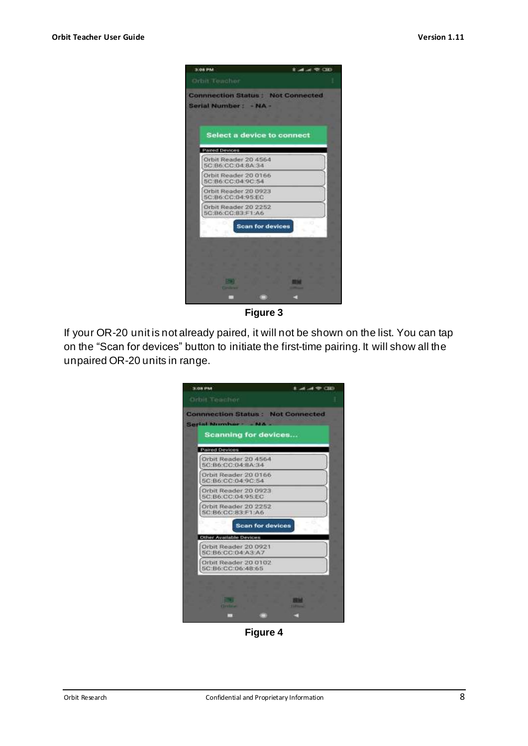

**Figure 3**

If your OR-20 unit is not already paired, it will not be shown on the list. You can tap on the "Scan for devices" button to initiate the first-time pairing. It will show all the unpaired OR-20 units in range.

| Serial Number - NA                            |  |
|-----------------------------------------------|--|
| <b>Scanning for devices</b><br>Paired Devices |  |
| Orbit Reader 20 4564<br>5C:B6:CC:04:BA:34     |  |
| Orbit Reader 20 0166<br>5C:B6:CC:04:9C:54     |  |
| Orbit Reader 20 0923<br>5C:B6:CC:04:95:EC     |  |
| Orbit Reader 20 2252<br>5C:B6:CC:83:F1:A6     |  |
| <b>Scan for devices</b>                       |  |
| Other Available Devices                       |  |
| Orbit Reader 20 0921<br>5C B6:CC:04:A3:A7     |  |
| Orbit Reader 20 0102<br>5C:B6:CC:D6:48:65     |  |

**Figure 4**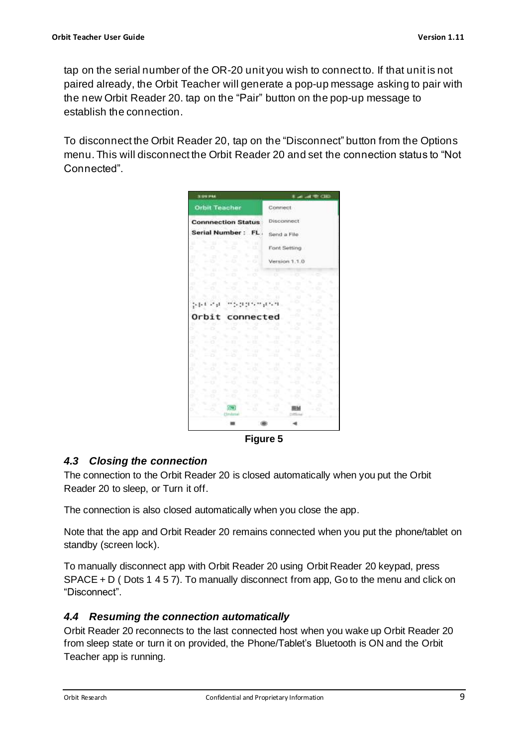tap on the serial number of the OR-20 unit you wish to connect to. If that unit is not paired already, the Orbit Teacher will generate a pop-up message asking to pair with the new Orbit Reader 20. tap on the "Pair" button on the pop-up message to establish the connection.

To disconnect the Orbit Reader 20, tap on the "Disconnect" button from the Options menu. This will disconnect the Orbit Reader 20 and set the connection status to "Not Connected".

| 3:09.9%                   |                 |                          |           | <b>Lating McClip</b> |   |        |   |  |
|---------------------------|-----------------|--------------------------|-----------|----------------------|---|--------|---|--|
| <b>Orbit Teacher</b>      |                 |                          | Connect   |                      |   |        |   |  |
| <b>Connnection Status</b> |                 |                          |           | <b>Disconnect</b>    |   |        |   |  |
| Serial Number: FL.        |                 |                          |           | Send a File          |   |        |   |  |
| n<br>٠<br>o               |                 | ١H<br>$\sim$             |           | Font Setting         |   |        |   |  |
| n<br>×                    | O<br>25         | s.<br>$\frac{1}{2}$<br>o |           | Version 1.1.0        |   |        |   |  |
| ٠<br>٠<br>ţ,              |                 | в<br>- 0                 |           |                      |   |        |   |  |
| o                         | o               | -13                      |           | ×<br>o               |   | ٠      |   |  |
| 1, 1, 1, 1                |                 | 5, 9, 9, 7, 7, 41, 9,    |           | ۰<br>D               | ٠ | ٠<br>ó |   |  |
| Orbit                     | connected       |                          |           | O<br>n.              |   | ٠<br>o | × |  |
| o                         |                 |                          | ×         | ٠<br>o               | ۰ | ×<br>٠ | ٠ |  |
| ×<br>x<br>o               | 19<br>n         | hti<br>t b               | и<br>r tr | ×<br>ä               | ۰ | ٠<br>¢ | w |  |
| ۷<br>w<br>s<br>ь          | ×<br>۵          | ٠<br>tш<br>m             | 1.<br>r.  | 113<br>a             | ٠ | ×<br>a | ٠ |  |
| v<br>o                    | <b>COL</b><br>۰ | 16<br>- 0                | ٠<br>o    | ۰<br>٠<br>o          | w | ٠<br>a | × |  |
| 14<br>u<br>٠              | ×<br>5          | и<br>×                   | 71        | ÷<br>e               |   | ×      | ٠ |  |
| ۰<br>o                    | ٠<br>$\circ$    | n<br>- 0                 | н         | ×<br>o               |   | ٦      |   |  |
|                           | Circlinie       | a                        | a.<br>ь   | ы<br>Etfline         |   | ۵      |   |  |
|                           |                 | 1,800                    |           |                      |   |        |   |  |

**Figure 5**

## <span id="page-8-0"></span>*4.3 Closing the connection*

The connection to the Orbit Reader 20 is closed automatically when you put the Orbit Reader 20 to sleep, or Turn it off.

The connection is also closed automatically when you close the app.

Note that the app and Orbit Reader 20 remains connected when you put the phone/tablet on standby (screen lock).

To manually disconnect app with Orbit Reader 20 using Orbit Reader 20 keypad, press  $SPACE + D$  (Dots 1 4 5 7). To manually disconnect from app, Go to the menu and click on "Disconnect".

#### <span id="page-8-1"></span>*4.4 Resuming the connection automatically*

Orbit Reader 20 reconnects to the last connected host when you wake up Orbit Reader 20 from sleep state or turn it on provided, the Phone/Tablet's Bluetooth is ON and the Orbit Teacher app is running.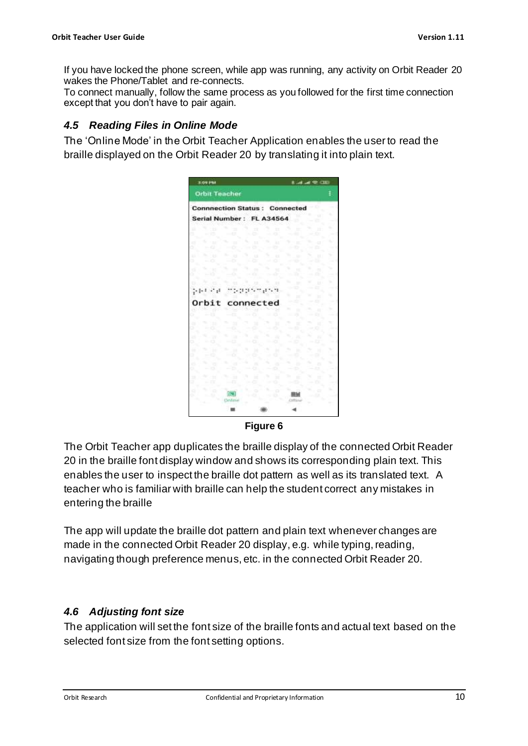If you have locked the phone screen, while app was running, any activity on Orbit Reader 20 wakes the Phone/Tablet and re-connects.

To connect manually, follow the same process as you followed for the first time connection except that you don't have to pair again.

#### <span id="page-9-0"></span>*4.5 Reading Files in Online Mode*

The 'Online Mode' in the Orbit Teacher Application enables the user to read the braille displayed on the Orbit Reader 20 by translating it into plain text.

| 3:09 PM                              |               |        |        |             | <b>Business Research</b> |   |
|--------------------------------------|---------------|--------|--------|-------------|--------------------------|---|
| <b>Orbit Teacher</b>                 |               |        |        |             |                          | I |
| <b>Connnection Status: Connected</b> |               |        |        |             |                          |   |
| Serial Number: FL A34564             |               |        |        |             |                          |   |
|                                      |               | n      | n      |             | ٠<br>m                   |   |
|                                      |               |        |        |             |                          |   |
|                                      |               | Ħ      | п      | Y.          | o<br>c                   |   |
| н                                    | ю             | u      | ٧<br>u |             | ш                        | v |
| ۰                                    |               |        | x      |             |                          |   |
| ×<br>n                               | o             | w      | u      | m<br>r      | b<br>a                   |   |
|                                      |               |        |        | ×           | ٠<br>ь                   | ٠ |
| ŗŦ,<br>Ŧ                             |               |        |        |             | œ                        |   |
| Orbit                                | connected     |        |        | ш<br>٦      | и<br>œ                   |   |
|                                      |               |        |        | ٠<br>×<br>۰ | и<br>c.                  |   |
|                                      |               |        |        | m           | и                        |   |
|                                      |               |        |        |             |                          |   |
|                                      |               |        | ٠<br>٠ | ۸           | ь                        |   |
|                                      |               |        | ٠<br>× | ٠<br>٠      | н                        |   |
|                                      |               |        |        |             |                          |   |
|                                      |               | ۸      |        | ۰           | ٠<br>n                   | ٠ |
|                                      | m             | ٠<br>× | Ħ      | ٠<br>m      | v<br>m                   | ٠ |
| ٦                                    |               |        |        |             | ٠                        |   |
|                                      |               |        | o      | ю           | o                        |   |
|                                      | <b>Deline</b> |        |        | Children    |                          |   |
|                                      |               |        |        |             |                          |   |

#### **Figure 6**

The Orbit Teacher app duplicates the braille display of the connected Orbit Reader 20 in the braille font display window and shows its corresponding plain text. This enables the user to inspect the braille dot pattern as well as its translated text. A teacher who is familiar with braille can help the student correct any mistakes in entering the braille

The app will update the braille dot pattern and plain text whenever changes are made in the connected Orbit Reader 20 display, e.g. while typing, reading, navigating though preference menus, etc. in the connected Orbit Reader 20.

#### <span id="page-9-1"></span>*4.6 Adjusting font size*

The application will set the font size of the braille fonts and actual text based on the selected font size from the font setting options.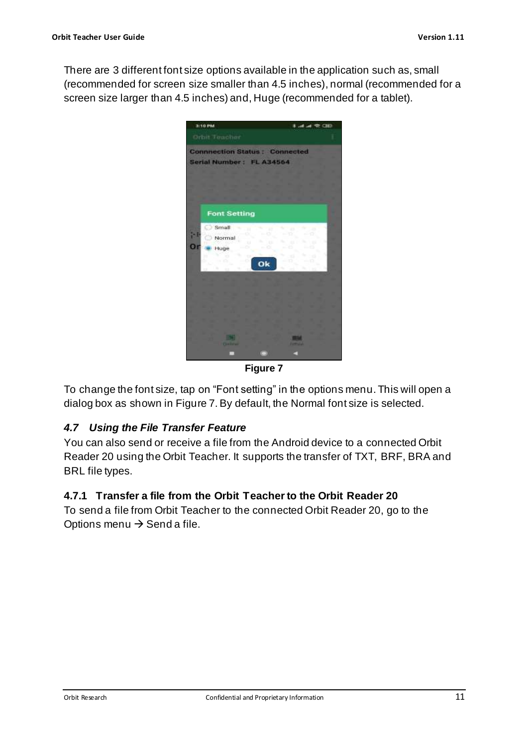There are 3 different font size options available in the application such as, small (recommended for screen size smaller than 4.5 inches), normal (recommended for a screen size larger than 4.5 inches) and, Huge (recommended for a tablet).



**Figure 7**

<span id="page-10-2"></span>To change the font size, tap on "Font setting" in the options menu. This will open a dialog box as shown i[n Figure 7.](#page-10-2) By default, the Normal font size is selected.

#### <span id="page-10-0"></span>*4.7 Using the File Transfer Feature*

You can also send or receive a file from the Android device to a connected Orbit Reader 20 using the Orbit Teacher. It supports the transfer of TXT, BRF, BRA and BRL file types.

#### <span id="page-10-1"></span>**4.7.1 Transfer a file from the Orbit Teacherto the Orbit Reader 20**

To send a file from Orbit Teacher to the connected Orbit Reader 20, go to the Options menu  $\rightarrow$  Send a file.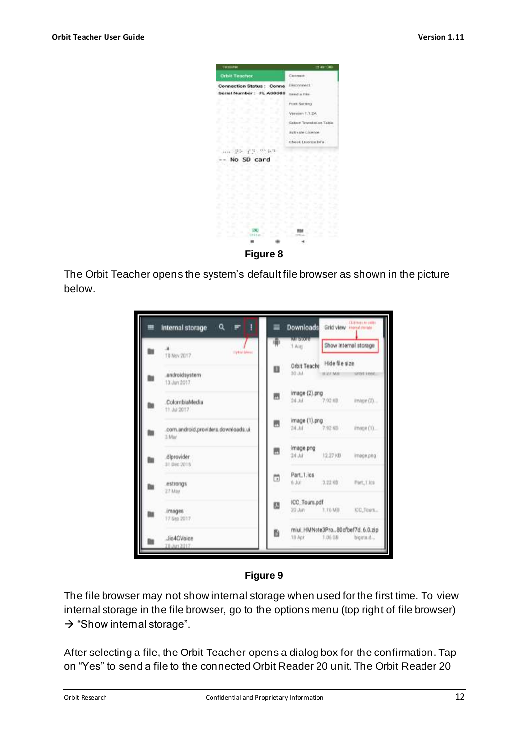

The Orbit Teacher opens the system's default file browser as shown in the picture below.





The file browser may not show internal storage when used for the first time. To view internal storage in the file browser, go to the options menu (top right of file browser)  $\rightarrow$  "Show internal storage".

After selecting a file, the Orbit Teacher opens a dialog box for the confirmation. Tap on "Yes" to send a file to the connected Orbit Reader 20 unit. The Orbit Reader 20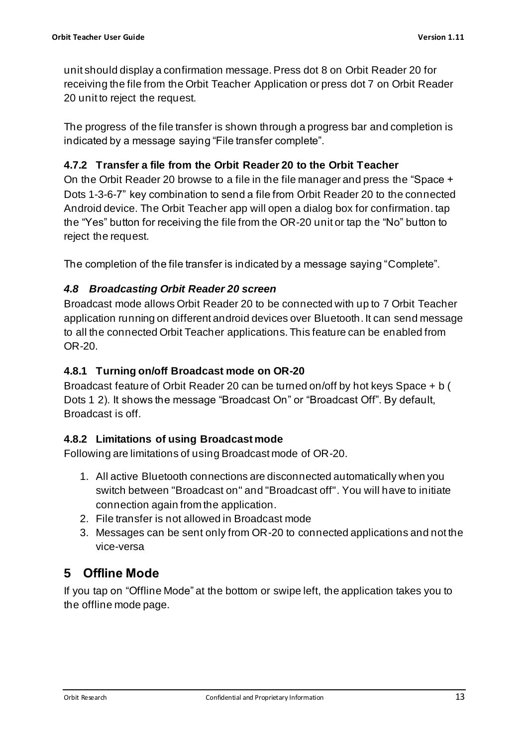unit should display a confirmation message. Press dot 8 on Orbit Reader 20 for receiving the file from the Orbit Teacher Application or press dot 7 on Orbit Reader 20 unit to reject the request.

The progress of the file transfer is shown through a progress bar and completion is indicated by a message saying "File transfer complete".

## <span id="page-12-0"></span>**4.7.2 Transfer a file from the Orbit Reader 20 to the Orbit Teacher**

On the Orbit Reader 20 browse to a file in the file manager and press the "Space + Dots 1-3-6-7" key combination to send a file from Orbit Reader 20 to the connected Android device. The Orbit Teacher app will open a dialog box for confirmation. tap the "Yes" button for receiving the file from the OR-20 unit or tap the "No" button to reject the request.

The completion of the file transfer is indicated by a message saying "Complete".

#### <span id="page-12-1"></span>*4.8 Broadcasting Orbit Reader 20 screen*

Broadcast mode allows Orbit Reader 20 to be connected with up to 7 Orbit Teacher application running on different android devices over Bluetooth. It can send message to all the connected Orbit Teacher applications. This feature can be enabled from OR-20.

#### <span id="page-12-2"></span>**4.8.1 Turning on/off Broadcast mode on OR-20**

Broadcast feature of Orbit Reader 20 can be turned on/off by hot keys Space + b ( Dots 1 2). It shows the message "Broadcast On" or "Broadcast Off". By default, Broadcast is off.

#### <span id="page-12-3"></span>**4.8.2 Limitations of using Broadcast mode**

Following are limitations of using Broadcast mode of OR-20.

- 1. All active Bluetooth connections are disconnected automatically when you switch between "Broadcast on" and "Broadcast off". You will have to initiate connection again from the application.
- 2. File transfer is not allowed in Broadcast mode
- 3. Messages can be sent only from OR-20 to connected applications and not the vice-versa

## <span id="page-12-4"></span>**5 Offline Mode**

If you tap on "Offline Mode" at the bottom or swipe left, the application takes you to the offline mode page.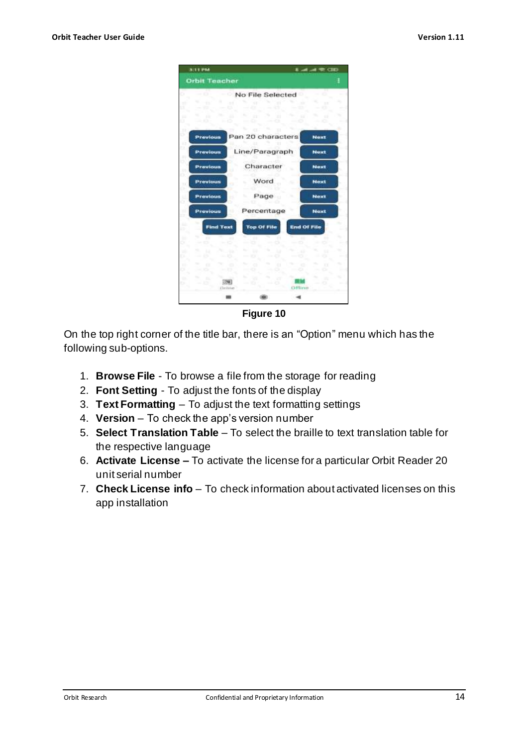

**Figure 10**

On the top right corner of the title bar, there is an "Option" menu which has the following sub-options.

- 1. **Browse File**  To browse a file from the storage for reading
- 2. **Font Setting** To adjust the fonts of the display
- 3. **Text Formatting** To adjust the text formatting settings
- 4. **Version** To check the app's version number
- 5. **Select Translation Table** To select the braille to text translation table for the respective language
- 6. **Activate License –** To activate the license for a particular Orbit Reader 20 unit serial number
- 7. **Check License info** To check information about activated licenses on this app installation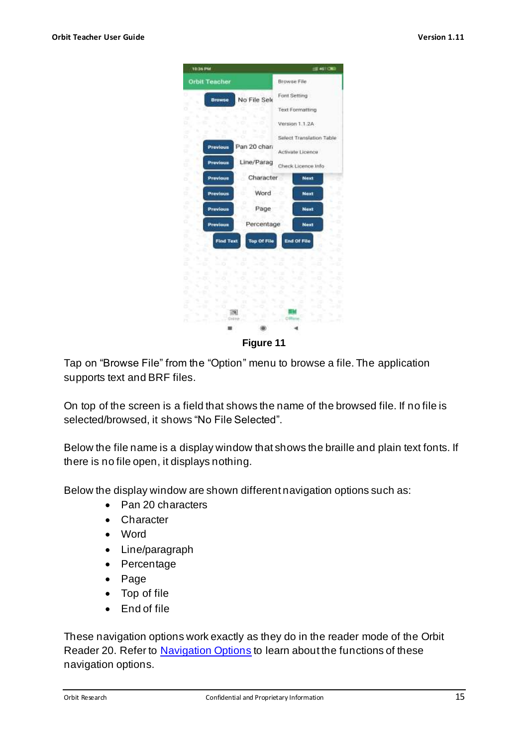

Tap on "Browse File" from the "Option" menu to browse a file. The application supports text and BRF files.

On top of the screen is a field that shows the name of the browsed file. If no file is selected/browsed, it shows "No File Selected".

Below the file name is a display window that shows the braille and plain text fonts. If there is no file open, it displays nothing.

Below the display window are shown different navigation options such as:

- Pan 20 characters
- Character
- Word
- Line/paragraph
- Percentage
- Page
- Top of file
- End of file

These navigation options work exactly as they do in the reader mode of the Orbit Reader 20. Refer to [Navigation Options](#page-16-0) to learn about the functions of these navigation options.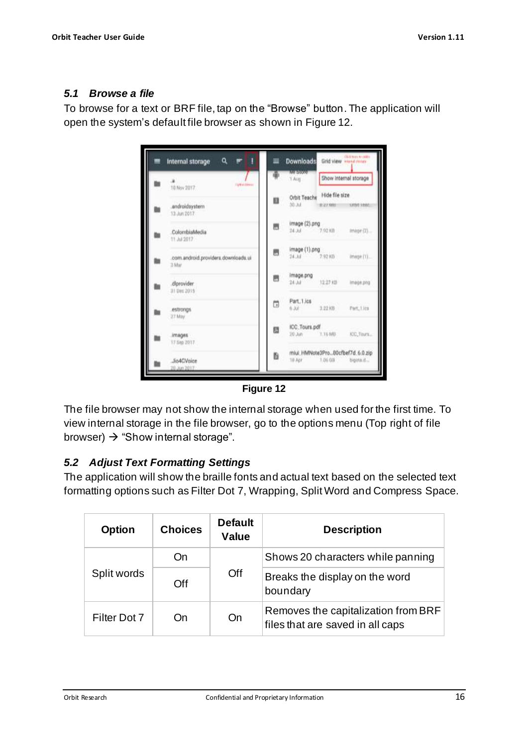#### <span id="page-15-0"></span>*5.1 Browse a file*

To browse for a text or BRF file, tap on the "Browse" button. The application will open the system's default file browser as shown in [Figure 12.](#page-15-2)





<span id="page-15-2"></span>The file browser may not show the internal storage when used for the first time. To view internal storage in the file browser, go to the options menu (Top right of file browser)  $\rightarrow$  "Show internal storage".

## <span id="page-15-1"></span>*5.2 Adjust Text Formatting Settings*

The application will show the braille fonts and actual text based on the selected text formatting options such as Filter Dot 7, Wrapping, Split Word and Compress Space.

| <b>Option</b> | <b>Choices</b> | <b>Default</b><br><b>Value</b> | <b>Description</b>                                                      |
|---------------|----------------|--------------------------------|-------------------------------------------------------------------------|
|               | On             | Off                            | Shows 20 characters while panning                                       |
| Split words   | Off            |                                | Breaks the display on the word<br>boundary                              |
| Filter Dot 7  | On             | On                             | Removes the capitalization from BRF<br>files that are saved in all caps |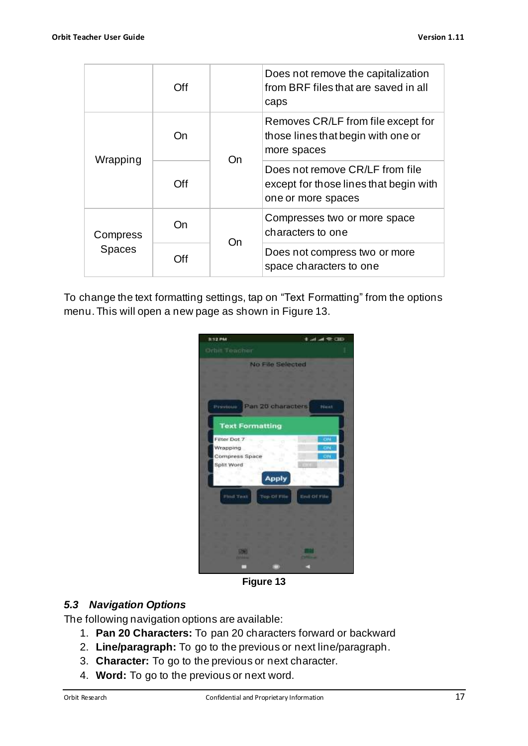|               | Off |    | Does not remove the capitalization<br>from BRF files that are saved in all<br>caps              |
|---------------|-----|----|-------------------------------------------------------------------------------------------------|
|               | On  | On | Removes CR/LF from file except for<br>those lines that begin with one or<br>more spaces         |
| Wrapping      | Off |    | Does not remove CR/LF from file<br>except for those lines that begin with<br>one or more spaces |
| Compress      | On  | On | Compresses two or more space<br>characters to one                                               |
| <b>Spaces</b> | 7ff |    | Does not compress two or more<br>space characters to one                                        |

To change the text formatting settings, tap on "Text Formatting" from the options menu. This will open a new page as shown in [Figure 13.](#page-16-1)

| 3/12 PM                         | <b>ELO SO No. Inc.</b> |
|---------------------------------|------------------------|
| bit Togcher                     |                        |
| <b>No File Selected</b>         |                        |
|                                 |                        |
|                                 |                        |
| Pan 20 characters<br>Principius | Péaret                 |
| <b>Text Formatting</b>          |                        |
| Filter Dot 7                    | ON                     |
| Wrapping                        | ON                     |
| Compress Space<br>Ď             | Ħ<br>ON                |
| Split Word<br><b>CS</b>         | <b>THEFT</b><br>ά      |
| <b>Apply</b>                    | ы                      |
| Find Taxi<br>Top Of File        | tinit-Of-File          |
|                                 |                        |
|                                 |                        |
|                                 |                        |
|                                 |                        |
| <b>Designation</b>              |                        |
| <b>COMMA</b>                    | <b>CONTINUE</b>        |
|                                 |                        |

**Figure 13**

#### <span id="page-16-1"></span><span id="page-16-0"></span>*5.3 Navigation Options*

The following navigation options are available:

- 1. **Pan 20 Characters:** To pan 20 characters forward or backward
- 2. **Line/paragraph:** To go to the previous or next line/paragraph.
- 3. **Character:** To go to the previous or next character.
- 4. **Word:** To go to the previous or next word.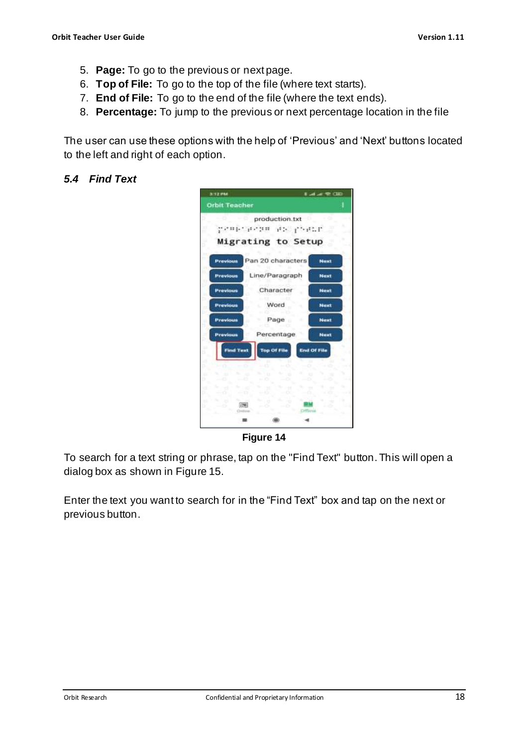- 5. **Page:** To go to the previous or next page.
- 6. **Top of File:** To go to the top of the file (where text starts).
- 7. **End of File:** To go to the end of the file (where the text ends).
- 8. **Percentage:** To jump to the previous or next percentage location in the file

The user can use these options with the help of 'Previous' and 'Next' buttons located to the left and right of each option.

#### <span id="page-17-0"></span>*5.4 Find Text*



**Figure 14**

To search for a text string or phrase, tap on the "Find Text" button. This will open a dialog box as shown in [Figure 15.](#page-18-2)

Enter the text you want to search for in the "Find Text" box and tap on the next or previous button.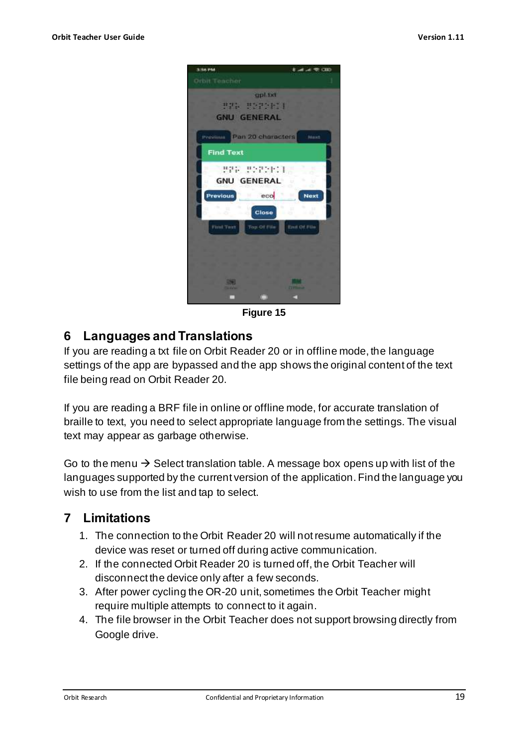

**Figure 15**

## <span id="page-18-2"></span><span id="page-18-0"></span>**6 Languages and Translations**

If you are reading a txt file on Orbit Reader 20 or in offline mode, the language settings of the app are bypassed and the app shows the original content of the text file being read on Orbit Reader 20.

If you are reading a BRF file in online or offline mode, for accurate translation of braille to text, you need to select appropriate language from the settings. The visual text may appear as garbage otherwise.

Go to the menu  $\rightarrow$  Select translation table. A message box opens up with list of the languages supported by the current version of the application. Find the language you wish to use from the list and tap to select.

## <span id="page-18-1"></span>**7 Limitations**

- 1. The connection to the Orbit Reader 20 will not resume automatically if the device was reset or turned off during active communication.
- 2. If the connected Orbit Reader 20 is turned off, the Orbit Teacher will disconnect the device only after a few seconds.
- 3. After power cycling the OR-20 unit, sometimes the Orbit Teacher might require multiple attempts to connect to it again.
- 4. The file browser in the Orbit Teacher does not support browsing directly from Google drive.